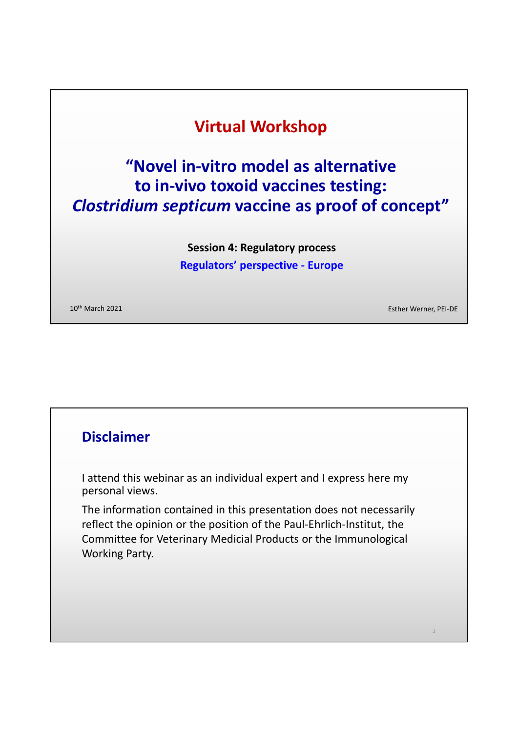# **Virtual Workshop**

# **"Novel in-vitro model as alternative to in-vivo toxoid vaccines testing:**  *Clostridium septicum* **vaccine as proof of concept"**

**Session 4: Regulatory process Regulators' perspective - Europe**

10th March 2021 Esther Werner, PEI-DE

2

### **Disclaimer**

I attend this webinar as an individual expert and I express here my personal views.

The information contained in this presentation does not necessarily reflect the opinion or the position of the Paul-Ehrlich-Institut, the Committee for Veterinary Medicial Products or the Immunological Working Party.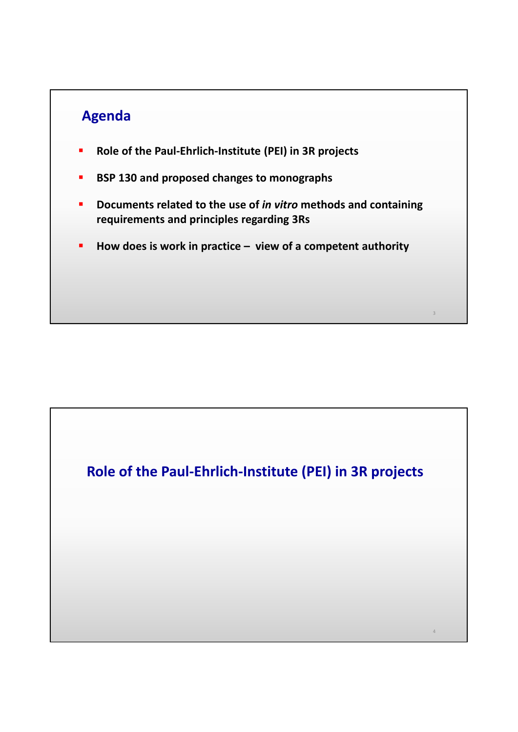# **Agenda**

- **Role of the Paul-Ehrlich-Institute (PEI) in 3R projects**
- **BSP 130 and proposed changes to monographs**
- **Documents related to the use of** *in vitro* **methods and containing requirements and principles regarding 3Rs**
- **How does is work in practice view of a competent authority**

**Role of the Paul-Ehrlich-Institute (PEI) in 3R projects**

4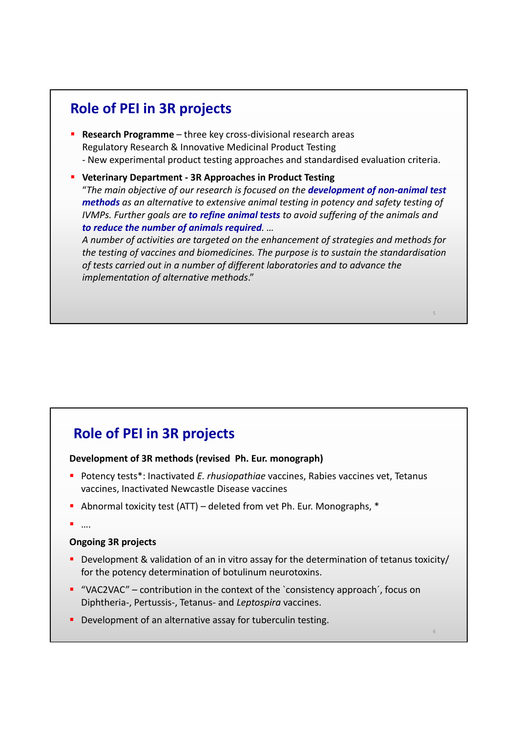# **Role of PEI in 3R projects**

 **Research Programme** – three key cross-divisional research areas Regulatory Research & Innovative Medicinal Product Testing - New experimental product testing approaches and standardised evaluation criteria.

#### **Veterinary Department - 3R Approaches in Product Testing**

"*The main objective of our research is focused on the development of non-animal test methods as an alternative to extensive animal testing in potency and safety testing of IVMPs. Further goals are to refine animal tests to avoid suffering of the animals and to reduce the number of animals required. …* 

*A number of activities are targeted on the enhancement of strategies and methods for the testing of vaccines and biomedicines. The purpose is to sustain the standardisation of tests carried out in a number of different laboratories and to advance the implementation of alternative methods*."

5

6

# **Role of PEI in 3R projects**

#### **Development of 3R methods (revised Ph. Eur. monograph)**

- **Potency tests\*: Inactivated E. rhusiopathiae vaccines, Rabies vaccines vet, Tetanus** vaccines, Inactivated Newcastle Disease vaccines
- Abnormal toxicity test (ATT) deleted from vet Ph. Eur. Monographs, \*
- ….

#### **Ongoing 3R projects**

- Development & validation of an in vitro assay for the determination of tetanus toxicity/ for the potency determination of botulinum neurotoxins.
- "VAC2VAC" contribution in the context of the `consistency approach´, focus on Diphtheria-, Pertussis-, Tetanus- and *Leptospira* vaccines.
- **•** Development of an alternative assay for tuberculin testing.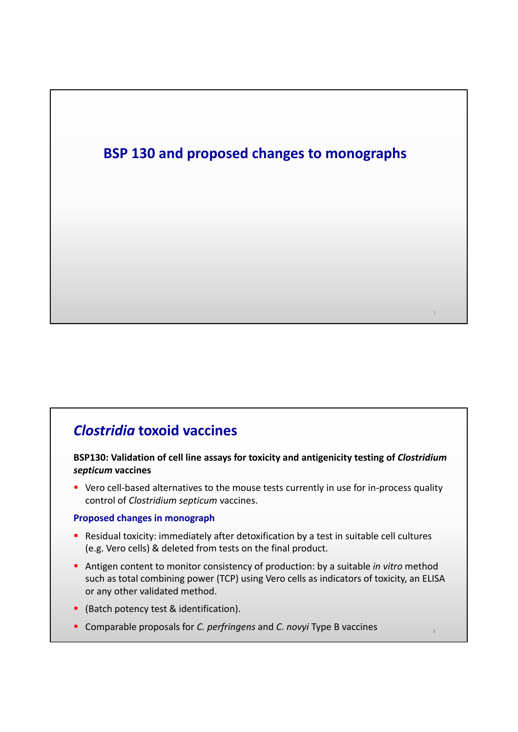

# *Clostridia* **toxoid vaccines**

**BSP130: Validation of cell line assays for toxicity and antigenicity testing of** *Clostridium septicum* **vaccines**

 Vero cell-based alternatives to the mouse tests currently in use for in-process quality control of *Clostridium septicum* vaccines.

#### **Proposed changes in monograph**

- Residual toxicity: immediately after detoxification by a test in suitable cell cultures (e.g. Vero cells) & deleted from tests on the final product.
- Antigen content to monitor consistency of production: by a suitable *in vitro* method such as total combining power (TCP) using Vero cells as indicators of toxicity, an ELISA or any other validated method.

- (Batch potency test & identification).
- Comparable proposals for *C. perfringens* and *C. novyi* Type B vaccines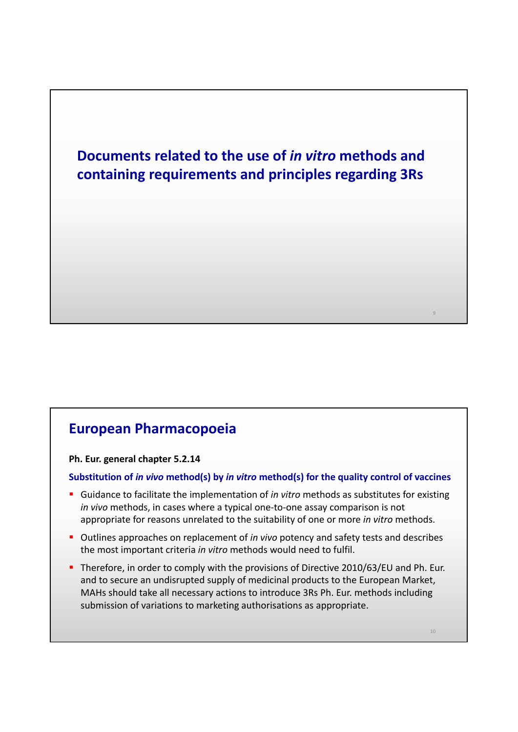

### **European Pharmacopoeia**

**Ph. Eur. general chapter 5.2.14**

**Substitution of** *in vivo* **method(s) by** *in vitro* **method(s) for the quality control of vaccines**

- Guidance to facilitate the implementation of *in vitro* methods as substitutes for existing *in vivo* methods, in cases where a typical one-to-one assay comparison is not appropriate for reasons unrelated to the suitability of one or more *in vitro* methods.
- Outlines approaches on replacement of *in vivo* potency and safety tests and describes the most important criteria *in vitro* methods would need to fulfil.
- Therefore, in order to comply with the provisions of Directive 2010/63/EU and Ph. Eur. and to secure an undisrupted supply of medicinal products to the European Market, MAHs should take all necessary actions to introduce 3Rs Ph. Eur. methods including submission of variations to marketing authorisations as appropriate.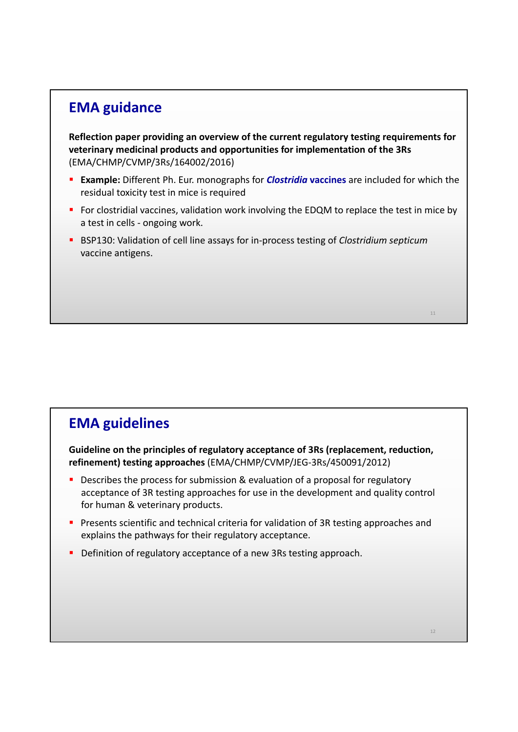# **EMA guidance**

**Reflection paper providing an overview of the current regulatory testing requirements for veterinary medicinal products and opportunities for implementation of the 3Rs**  (EMA/CHMP/CVMP/3Rs/164002/2016)

- **Example:** Different Ph. Eur. monographs for **Clostridia vaccines** are included for which the residual toxicity test in mice is required
- For clostridial vaccines, validation work involving the EDQM to replace the test in mice by a test in cells - ongoing work.
- BSP130: Validation of cell line assays for in-process testing of *Clostridium septicum* vaccine antigens.

# **EMA guidelines**

**Guideline on the principles of regulatory acceptance of 3Rs (replacement, reduction, refinement) testing approaches** (EMA/CHMP/CVMP/JEG-3Rs/450091/2012)

- Describes the process for submission & evaluation of a proposal for regulatory acceptance of 3R testing approaches for use in the development and quality control for human & veterinary products.
- **Presents scientific and technical criteria for validation of 3R testing approaches and** explains the pathways for their regulatory acceptance.
- **Definition of regulatory acceptance of a new 3Rs testing approach.**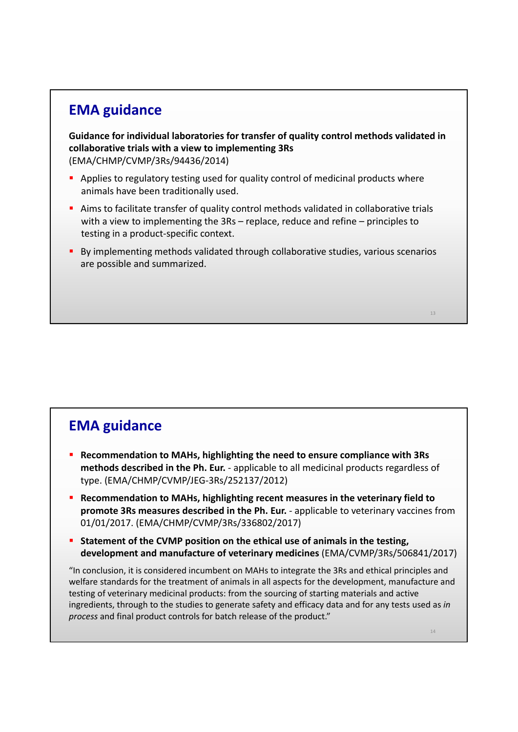## **EMA guidance**

**Guidance for individual laboratories for transfer of quality control methods validated in collaborative trials with a view to implementing 3Rs**  (EMA/CHMP/CVMP/3Rs/94436/2014)

- Applies to regulatory testing used for quality control of medicinal products where animals have been traditionally used.
- Aims to facilitate transfer of quality control methods validated in collaborative trials with a view to implementing the 3Rs – replace, reduce and refine – principles to testing in a product-specific context.
- By implementing methods validated through collaborative studies, various scenarios are possible and summarized.

# **EMA guidance**

- **Recommendation to MAHs, highlighting the need to ensure compliance with 3Rs methods described in the Ph. Eur.** - applicable to all medicinal products regardless of type. (EMA/CHMP/CVMP/JEG-3Rs/252137/2012)
- **Recommendation to MAHs, highlighting recent measures in the veterinary field to promote 3Rs measures described in the Ph. Eur.** - applicable to veterinary vaccines from 01/01/2017. (EMA/CHMP/CVMP/3Rs/336802/2017)
- **Statement of the CVMP position on the ethical use of animals in the testing, development and manufacture of veterinary medicines** (EMA/CVMP/3Rs/506841/2017)

"In conclusion, it is considered incumbent on MAHs to integrate the 3Rs and ethical principles and welfare standards for the treatment of animals in all aspects for the development, manufacture and testing of veterinary medicinal products: from the sourcing of starting materials and active ingredients, through to the studies to generate safety and efficacy data and for any tests used as *in process* and final product controls for batch release of the product."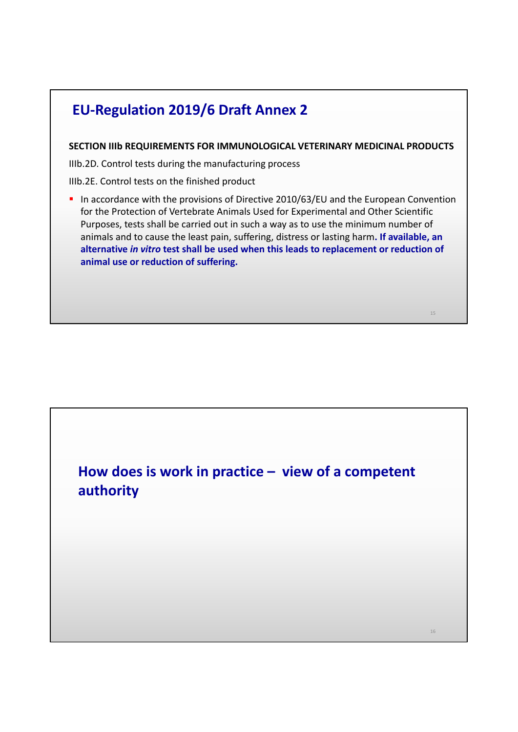# **EU-Regulation 2019/6 Draft Annex 2**

**SECTION IIIb REQUIREMENTS FOR IMMUNOLOGICAL VETERINARY MEDICINAL PRODUCTS**

IIIb.2D. Control tests during the manufacturing process

IIIb.2E. Control tests on the finished product

In accordance with the provisions of Directive 2010/63/EU and the European Convention for the Protection of Vertebrate Animals Used for Experimental and Other Scientific Purposes, tests shall be carried out in such a way as to use the minimum number of animals and to cause the least pain, suffering, distress or lasting harm**. If available, an alternative** *in vitro* **test shall be used when this leads to replacement or reduction of animal use or reduction of suffering.**

**How does is work in practice – view of a competent authority**

16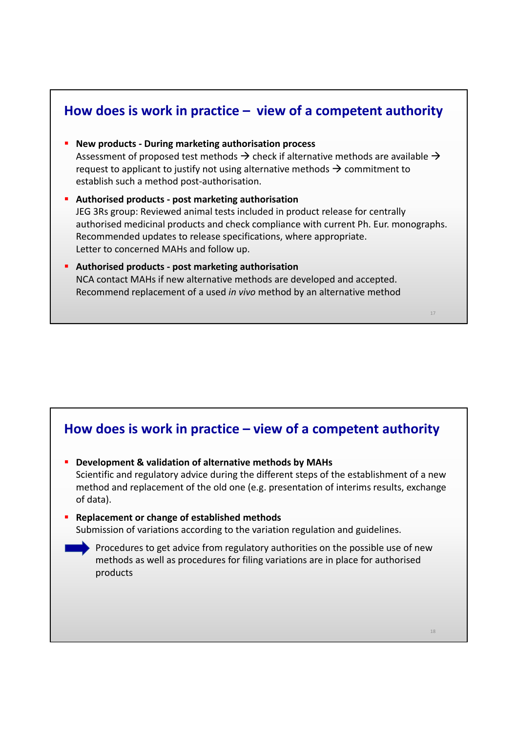### **How does is work in practice – view of a competent authority**

- **New products During marketing authorisation process** Assessment of proposed test methods  $\rightarrow$  check if alternative methods are available  $\rightarrow$ request to applicant to justify not using alternative methods  $\rightarrow$  commitment to establish such a method post-authorisation.
- **Authorised products post marketing authorisation** JEG 3Rs group: Reviewed animal tests included in product release for centrally authorised medicinal products and check compliance with current Ph. Eur. monographs. Recommended updates to release specifications, where appropriate. Letter to concerned MAHs and follow up.
- **Authorised products post marketing authorisation** NCA contact MAHs if new alternative methods are developed and accepted. Recommend replacement of a used *in vivo* method by an alternative method

#### **How does is work in practice – view of a competent authority**

- **Development & validation of alternative methods by MAHs**  Scientific and regulatory advice during the different steps of the establishment of a new method and replacement of the old one (e.g. presentation of interims results, exchange of data).
- **Replacement or change of established methods** Submission of variations according to the variation regulation and guidelines.
	- Procedures to get advice from regulatory authorities on the possible use of new methods as well as procedures for filing variations are in place for authorised products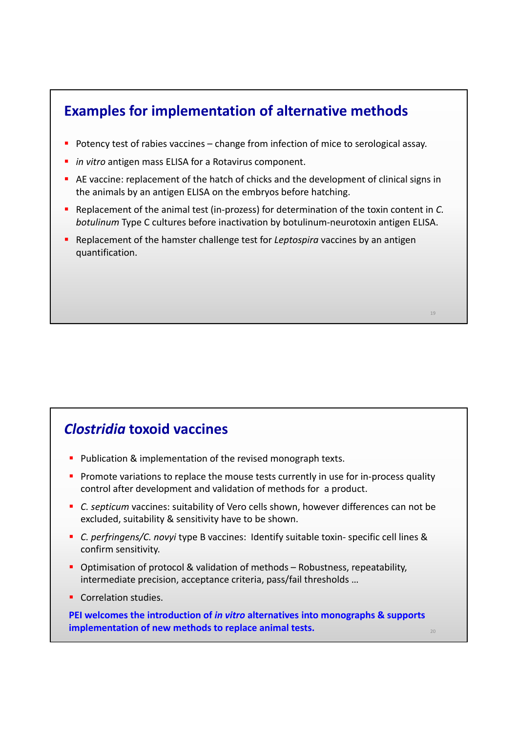## **Examples for implementation of alternative methods**

- Potency test of rabies vaccines change from infection of mice to serological assay.
- *in vitro antigen mass ELISA for a Rotavirus component.*
- AE vaccine: replacement of the hatch of chicks and the development of clinical signs in the animals by an antigen ELISA on the embryos before hatching.
- Replacement of the animal test (in-prozess) for determination of the toxin content in *C. botulinum* Type C cultures before inactivation by botulinum-neurotoxin antigen ELISA.
- Replacement of the hamster challenge test for *Leptospira* vaccines by an antigen quantification.

### *Clostridia* **toxoid vaccines**

- **Publication & implementation of the revised monograph texts.**
- **Promote variations to replace the mouse tests currently in use for in-process quality** control after development and validation of methods for a product.
- *C. septicum* vaccines: suitability of Vero cells shown, however differences can not be excluded, suitability & sensitivity have to be shown.
- *C. perfringens/C. novyi* type B vaccines: Identify suitable toxin- specific cell lines & confirm sensitivity.
- Optimisation of protocol & validation of methods Robustness, repeatability, intermediate precision, acceptance criteria, pass/fail thresholds …
- Correlation studies.

**PEI welcomes the introduction of** *in vitro* **alternatives into monographs & supports implementation of new methods to replace animal tests.**